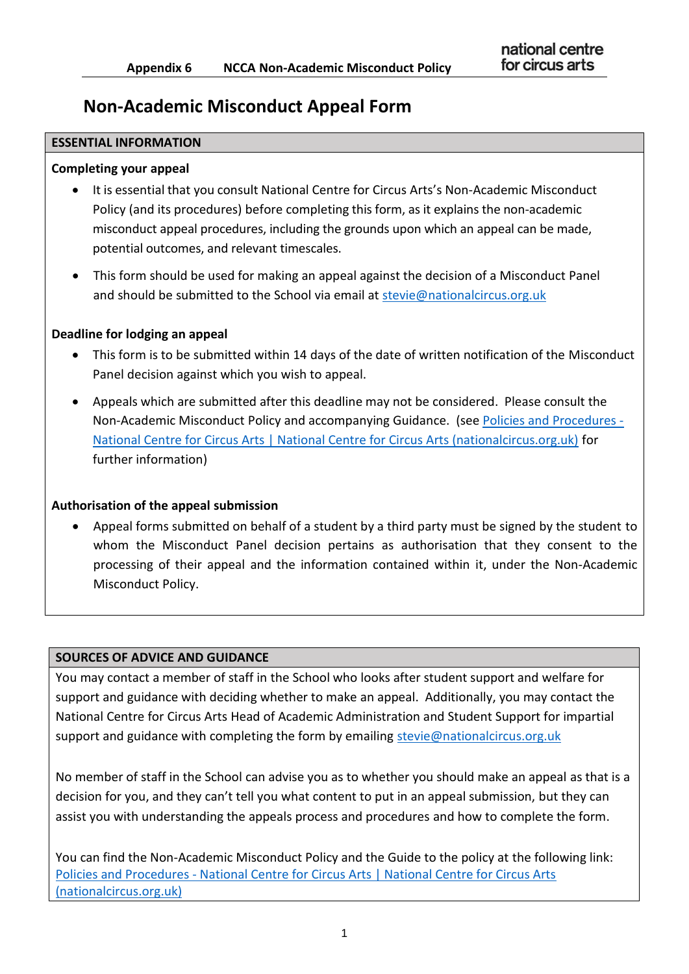# **Non-Academic Misconduct Appeal Form**

#### **ESSENTIAL INFORMATION**

#### **Completing your appeal**

- It is essential that you consult National Centre for Circus Arts's Non-Academic Misconduct Policy (and its procedures) before completing this form, as it explains the non-academic misconduct appeal procedures, including the grounds upon which an appeal can be made, potential outcomes, and relevant timescales.
- This form should be used for making an appeal against the decision of a Misconduct Panel and should be submitted to the School via email at [stevie@nationalcircus.org.uk](mailto:stevie@nationalcircus.org.uk)

#### **Deadline for lodging an appeal**

- This form is to be submitted within 14 days of the date of written notification of the Misconduct Panel decision against which you wish to appeal.
- Appeals which are submitted after this deadline may not be considered. Please consult the Non-Academic Misconduct Policy and accompanying Guidance. (see [Policies and Procedures -](https://www.nationalcircus.org.uk/student-support-and-faqs/policies-and-procedures/) [National Centre for Circus Arts | National Centre for Circus Arts \(nationalcircus.org.uk\)](https://www.nationalcircus.org.uk/student-support-and-faqs/policies-and-procedures/) for further information)

## **Authorisation of the appeal submission**

 Appeal forms submitted on behalf of a student by a third party must be signed by the student to whom the Misconduct Panel decision pertains as authorisation that they consent to the processing of their appeal and the information contained within it, under the Non-Academic Misconduct Policy.

#### **SOURCES OF ADVICE AND GUIDANCE**

You may contact a member of staff in the School who looks after student support and welfare for support and guidance with deciding whether to make an appeal. Additionally, you may contact the National Centre for Circus Arts Head of Academic Administration and Student Support for impartial support and guidance with completing the form by emailing [stevie@nationalcircus.org.uk](mailto:stevie@nationalcircus.org.uk) 

No member of staff in the School can advise you as to whether you should make an appeal as that is a decision for you, and they can't tell you what content to put in an appeal submission, but they can assist you with understanding the appeals process and procedures and how to complete the form.

You can find the Non-Academic Misconduct Policy and the Guide to the policy at the following link: Policies and Procedures - [National Centre for Circus Arts | National Centre for Circus Arts](https://www.nationalcircus.org.uk/student-support-and-faqs/policies-and-procedures/)  [\(nationalcircus.org.uk\)](https://www.nationalcircus.org.uk/student-support-and-faqs/policies-and-procedures/)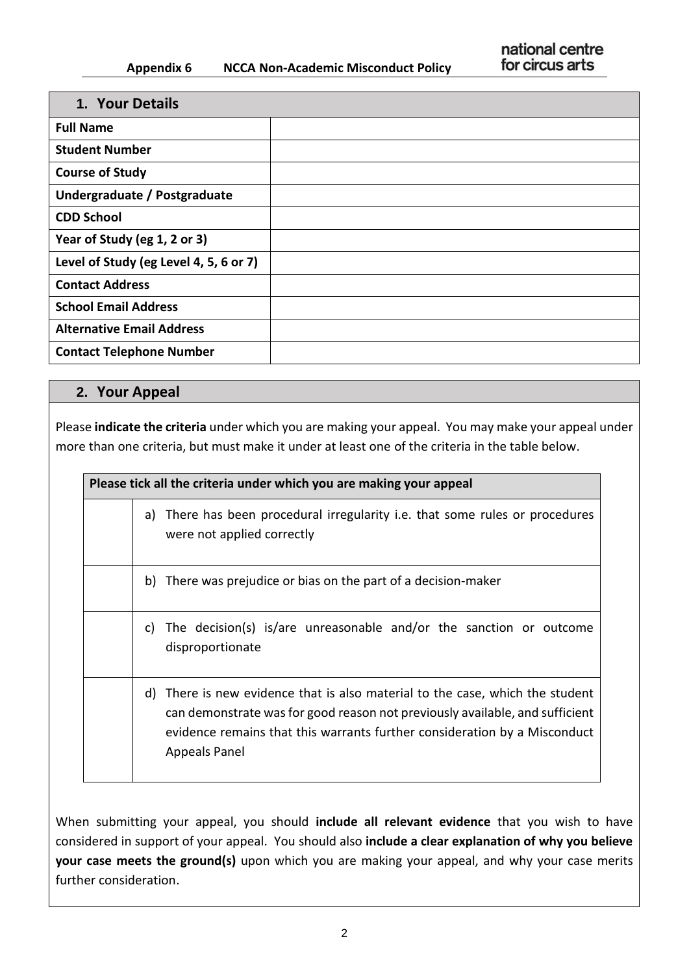## **Appendix 6 NCCA Non-Academic Misconduct Policy**

| 1. Your Details                        |  |
|----------------------------------------|--|
| <b>Full Name</b>                       |  |
| <b>Student Number</b>                  |  |
| <b>Course of Study</b>                 |  |
| Undergraduate / Postgraduate           |  |
| <b>CDD School</b>                      |  |
| Year of Study (eg 1, 2 or 3)           |  |
| Level of Study (eg Level 4, 5, 6 or 7) |  |
| <b>Contact Address</b>                 |  |
| <b>School Email Address</b>            |  |
| <b>Alternative Email Address</b>       |  |
| <b>Contact Telephone Number</b>        |  |

# **2. Your Appeal**

Please **indicate the criteria** under which you are making your appeal. You may make your appeal under more than one criteria, but must make it under at least one of the criteria in the table below.

| Please tick all the criteria under which you are making your appeal |    |                                                                                                                                                                                                                                                          |
|---------------------------------------------------------------------|----|----------------------------------------------------------------------------------------------------------------------------------------------------------------------------------------------------------------------------------------------------------|
|                                                                     | a) | There has been procedural irregularity i.e. that some rules or procedures<br>were not applied correctly                                                                                                                                                  |
|                                                                     |    | b) There was prejudice or bias on the part of a decision-maker                                                                                                                                                                                           |
|                                                                     | C) | The decision(s) is/are unreasonable and/or the sanction or outcome<br>disproportionate                                                                                                                                                                   |
|                                                                     | d) | There is new evidence that is also material to the case, which the student<br>can demonstrate was for good reason not previously available, and sufficient<br>evidence remains that this warrants further consideration by a Misconduct<br>Appeals Panel |

When submitting your appeal, you should **include all relevant evidence** that you wish to have considered in support of your appeal. You should also **include a clear explanation of why you believe your case meets the ground(s)** upon which you are making your appeal, and why your case merits further consideration.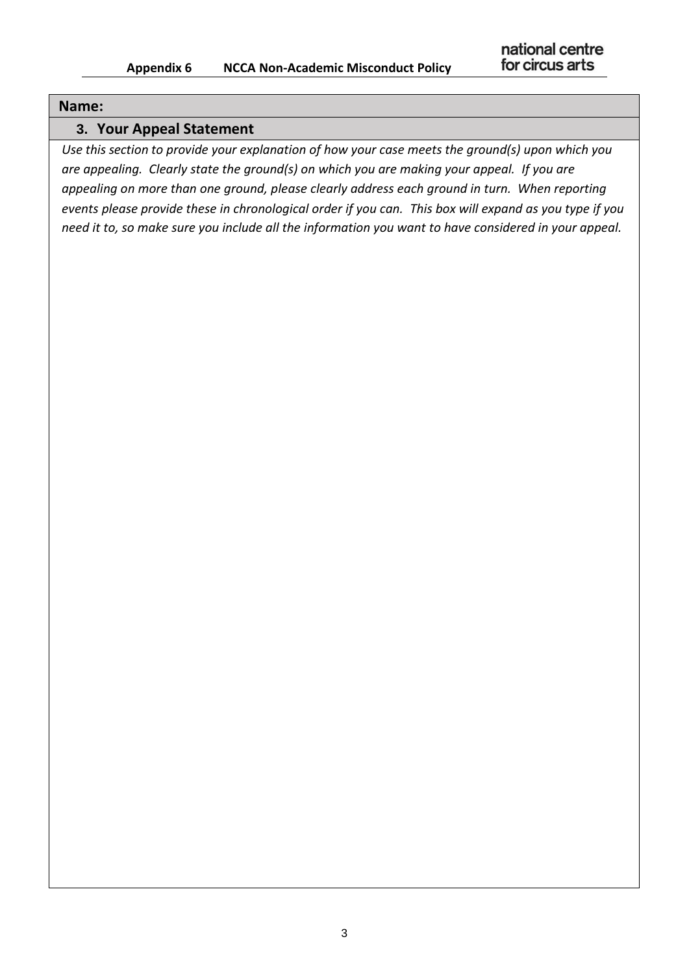## **Name:**

# **3. Your Appeal Statement**

*Use this section to provide your explanation of how your case meets the ground(s) upon which you are appealing. Clearly state the ground(s) on which you are making your appeal. If you are appealing on more than one ground, please clearly address each ground in turn. When reporting events please provide these in chronological order if you can. This box will expand as you type if you need it to, so make sure you include all the information you want to have considered in your appeal.*